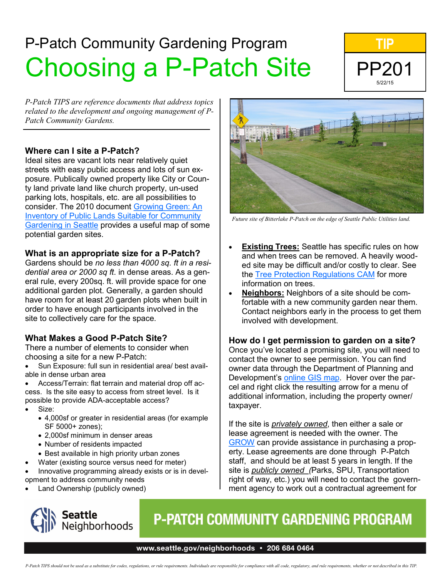# P-Patch Community Gardening Program Choosing a P-Patch Site



*P-Patch TIPS are reference documents that address topics related to the development and ongoing management of P-Patch Community Gardens.*

#### **Where can I site a P-Patch?**

Ideal sites are vacant lots near relatively quiet streets with easy public access and lots of sun exposure. Publically owned property like City or County land private land like church property, un-used parking lots, hospitals, etc. are all possibilities to consider. The 2010 document [Growing Green: An](http://www.seattle.gov/neighborhoods/ppatch/pubs/MHORST_GROWINGGREEN.pdf)  [Inventory of Public Lands Suitable for Community](http://www.seattle.gov/neighborhoods/ppatch/pubs/MHORST_GROWINGGREEN.pdf)  [Gardening in Seattle](http://www.seattle.gov/neighborhoods/ppatch/pubs/MHORST_GROWINGGREEN.pdf) provides a useful map of some potential garden sites.

#### **What is an appropriate size for a P-Patch?**

Gardens should be *no less than 4000 sq. ft in a residential area or 2000 sq ft*. in dense areas. As a general rule, every 200sq. ft. will provide space for one additional garden plot. Generally, a garden should have room for at least 20 garden plots when built in order to have enough participants involved in the site to collectively care for the space.

#### **What Makes a Good P-Patch Site?**

There a number of elements to consider when choosing a site for a new P-Patch:

- Sun Exposure: full sun in residential area/ best available in dense urban area
- Access/Terrain: flat terrain and material drop off access. Is the site easy to access from street level. Is it possible to provide ADA-acceptable access?
- Size:
	- 4,000sf or greater in residential areas (for example SF 5000+ zones);
	- 2,000sf minimum in denser areas
	- Number of residents impacted
	- Best available in high priority urban zones
- Water (existing source versus need for meter)
- Innovative programming already exists or is in development to address community needs
- Land Ownership (publicly owned)



## **P-PATCH COMMUNITY GARDENING PROGRAM**

#### and when trees can be removed. A heavily wooded site may be difficult and/or costly to clear. See the [Tree Protection Regulations CAM](http://web1.seattle.gov/DPD/CAMs/CamDetail.aspx?cn=242) for more information on trees. • **Neighbors:** Neighbors of a site should be comfortable with a new community garden near them. Contact neighbors early in the process to get them involved with development.

#### **How do I get permission to garden on a site?**

Once you've located a promising site, you will need to contact the owner to see permission. You can find owner data through the Department of Planning and Development's [online GIS map.](http://web1.seattle.gov/dpd/maps/dpdgis.aspx) Hover over the parcel and right click the resulting arrow for a menu of additional information, including the property owner/ taxpayer.

If the site is *privately owned*, then either a sale or lease agreement is needed with the owner. The [GROW](http://ppatchtrust.org/) can provide assistance in purchasing a property. Lease agreements are done through P-Patch staff, and should be at least 5 years in length. If the site is *publicly owned (*Parks, SPU, Transportation right of way, etc.) you will need to contact the government agency to work out a contractual agreement for

### www.seattle.gov/neighborhoods · 206 684 0464



*Future site of Bitterlake P-Patch on the edge of Seattle Public Utilities land.*

**Existing Trees:** Seattle has specific rules on how